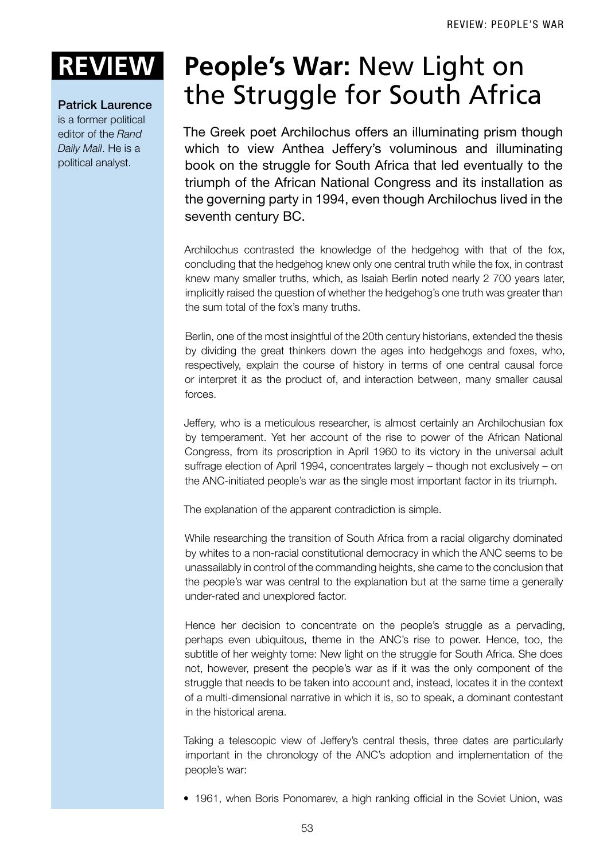## Patrick Laurence

is a former political editor of the *Rand Daily Mail*. He is a political analyst.

## **Review: People's War:** New Light on the Struggle for South Africa

The Greek poet Archilochus offers an illuminating prism though which to view Anthea Jeffery's voluminous and illuminating book on the struggle for South Africa that led eventually to the triumph of the African National Congress and its installation as the governing party in 1994, even though Archilochus lived in the seventh century BC.

Archilochus contrasted the knowledge of the hedgehog with that of the fox, concluding that the hedgehog knew only one central truth while the fox, in contrast knew many smaller truths, which, as Isaiah Berlin noted nearly 2 700 years later, implicitly raised the question of whether the hedgehog's one truth was greater than the sum total of the fox's many truths.

Berlin, one of the most insightful of the 20th century historians, extended the thesis by dividing the great thinkers down the ages into hedgehogs and foxes, who, respectively, explain the course of history in terms of one central causal force or interpret it as the product of, and interaction between, many smaller causal forces.

Jeffery, who is a meticulous researcher, is almost certainly an Archilochusian fox by temperament. Yet her account of the rise to power of the African National Congress, from its proscription in April 1960 to its victory in the universal adult suffrage election of April 1994, concentrates largely – though not exclusively – on the ANC-initiated people's war as the single most important factor in its triumph.

The explanation of the apparent contradiction is simple.

While researching the transition of South Africa from a racial oligarchy dominated by whites to a non-racial constitutional democracy in which the ANC seems to be unassailably in control of the commanding heights, she came to the conclusion that the people's war was central to the explanation but at the same time a generally under-rated and unexplored factor.

Hence her decision to concentrate on the people's struggle as a pervading, perhaps even ubiquitous, theme in the ANC's rise to power. Hence, too, the subtitle of her weighty tome: New light on the struggle for South Africa. She does not, however, present the people's war as if it was the only component of the struggle that needs to be taken into account and, instead, locates it in the context of a multi-dimensional narrative in which it is, so to speak, a dominant contestant in the historical arena.

Taking a telescopic view of Jeffery's central thesis, three dates are particularly important in the chronology of the ANC's adoption and implementation of the people's war:

• 1961, when Boris Ponomarev, a high ranking official in the Soviet Union, was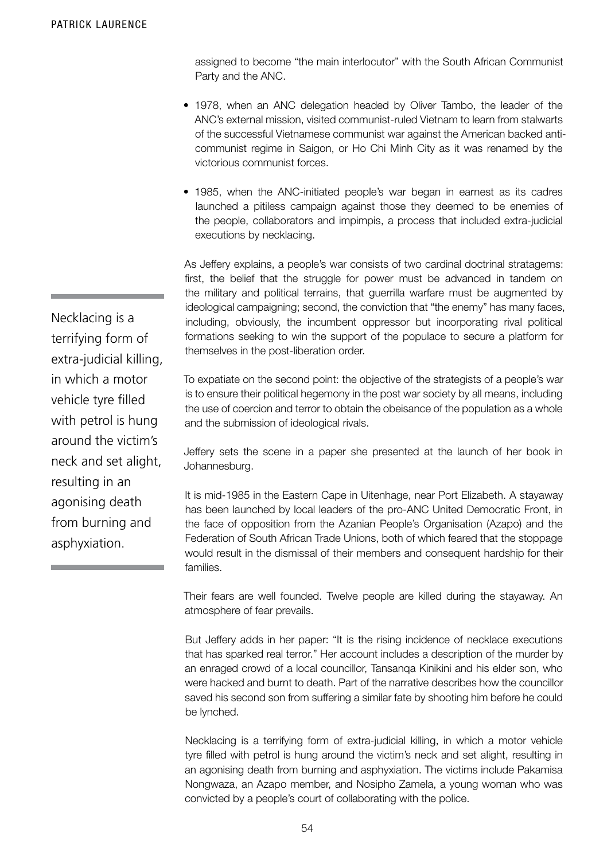assigned to become "the main interlocutor" with the South African Communist Party and the ANC.

- 1978, when an ANC delegation headed by Oliver Tambo, the leader of the ANC's external mission, visited communist-ruled Vietnam to learn from stalwarts of the successful Vietnamese communist war against the American backed anticommunist regime in Saigon, or Ho Chi Minh City as it was renamed by the victorious communist forces.
- 1985, when the ANC-initiated people's war began in earnest as its cadres launched a pitiless campaign against those they deemed to be enemies of the people, collaborators and impimpis, a process that included extra-judicial executions by necklacing.

As Jeffery explains, a people's war consists of two cardinal doctrinal stratagems: first, the belief that the struggle for power must be advanced in tandem on the military and political terrains, that guerrilla warfare must be augmented by ideological campaigning; second, the conviction that "the enemy" has many faces, including, obviously, the incumbent oppressor but incorporating rival political formations seeking to win the support of the populace to secure a platform for themselves in the post-liberation order.

To expatiate on the second point: the objective of the strategists of a people's war is to ensure their political hegemony in the post war society by all means, including the use of coercion and terror to obtain the obeisance of the population as a whole and the submission of ideological rivals.

Jeffery sets the scene in a paper she presented at the launch of her book in Johannesburg.

It is mid-1985 in the Eastern Cape in Uitenhage, near Port Elizabeth. A stayaway has been launched by local leaders of the pro-ANC United Democratic Front, in the face of opposition from the Azanian People's Organisation (Azapo) and the Federation of South African Trade Unions, both of which feared that the stoppage would result in the dismissal of their members and consequent hardship for their families.

Their fears are well founded. Twelve people are killed during the stayaway. An atmosphere of fear prevails.

But Jeffery adds in her paper: "It is the rising incidence of necklace executions that has sparked real terror." Her account includes a description of the murder by an enraged crowd of a local councillor, Tansanqa Kinikini and his elder son, who were hacked and burnt to death. Part of the narrative describes how the councillor saved his second son from suffering a similar fate by shooting him before he could be lynched.

Necklacing is a terrifying form of extra-judicial killing, in which a motor vehicle tyre filled with petrol is hung around the victim's neck and set alight, resulting in an agonising death from burning and asphyxiation. The victims include Pakamisa Nongwaza, an Azapo member, and Nosipho Zamela, a young woman who was convicted by a people's court of collaborating with the police.

Necklacing is a terrifying form of extra-judicial killing, in which a motor vehicle tyre filled with petrol is hung around the victim's neck and set alight, resulting in an agonising death from burning and asphyxiation.